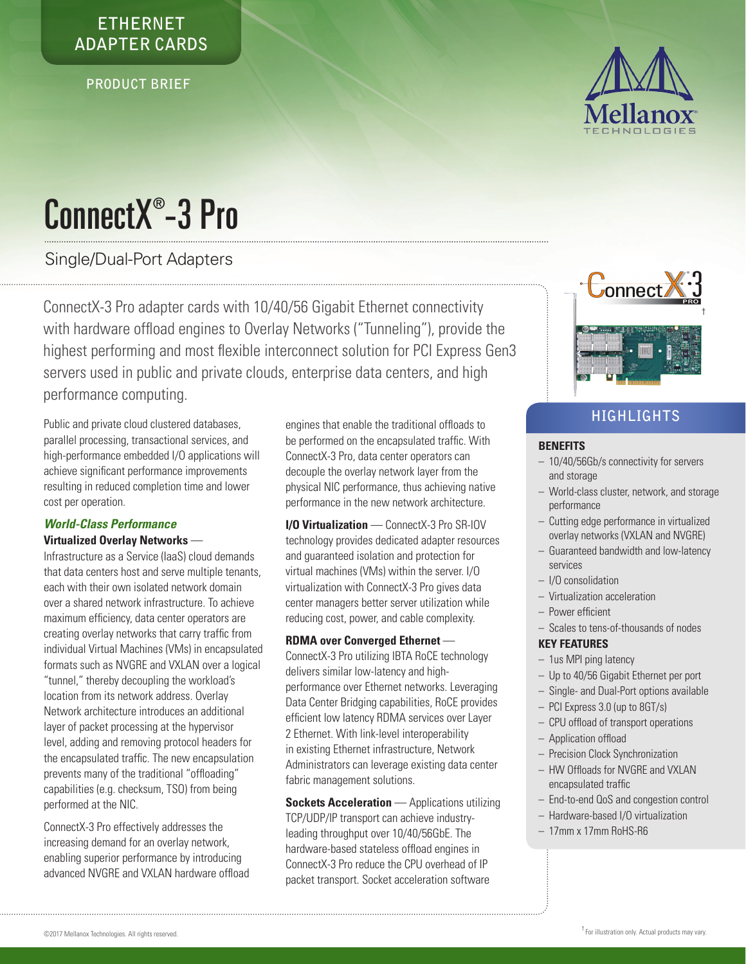# **ETHERNET ADAPTER CARDS**

**PRODUCT BRIEF**



# ConnectX® -3 Pro

# Single/Dual-Port Adapters

ConnectX-3 Pro adapter cards with 10/40/56 Gigabit Ethernet connectivity with hardware offload engines to Overlay Networks ("Tunneling"), provide the highest performing and most flexible interconnect solution for PCI Express Gen3 servers used in public and private clouds, enterprise data centers, and high performance computing.

Public and private cloud clustered databases, parallel processing, transactional services, and high-performance embedded I/O applications will achieve significant performance improvements resulting in reduced completion time and lower cost per operation.

#### *World-Class Performance* **Virtualized Overlay Networks** —

Infrastructure as a Service (IaaS) cloud demands that data centers host and serve multiple tenants, each with their own isolated network domain over a shared network infrastructure. To achieve maximum efficiency, data center operators are creating overlay networks that carry traffic from individual Virtual Machines (VMs) in encapsulated formats such as NVGRE and VXLAN over a logical "tunnel," thereby decoupling the workload's location from its network address. Overlay Network architecture introduces an additional layer of packet processing at the hypervisor level, adding and removing protocol headers for the encapsulated traffic. The new encapsulation prevents many of the traditional "offloading" capabilities (e.g. checksum, TSO) from being performed at the NIC.

ConnectX-3 Pro effectively addresses the increasing demand for an overlay network, enabling superior performance by introducing advanced NVGRE and VXLAN hardware offload engines that enable the traditional offloads to be performed on the encapsulated traffic. With ConnectX-3 Pro, data center operators can decouple the overlay network layer from the physical NIC performance, thus achieving native performance in the new network architecture.

**I/O Virtualization** — ConnectX-3 Pro SR-IOV technology provides dedicated adapter resources and guaranteed isolation and protection for virtual machines (VMs) within the server. I/O virtualization with ConnectX-3 Pro gives data center managers better server utilization while reducing cost, power, and cable complexity.

#### **RDMA over Converged Ethernet** —

ConnectX-3 Pro utilizing IBTA RoCE technology delivers similar low-latency and highperformance over Ethernet networks. Leveraging Data Center Bridging capabilities, RoCE provides efficient low latency RDMA services over Layer 2 Ethernet. With link-level interoperability in existing Ethernet infrastructure, Network Administrators can leverage existing data center fabric management solutions.

**Sockets Acceleration** — Applications utilizing TCP/UDP/IP transport can achieve industryleading throughput over 10/40/56GbE. The hardware-based stateless offload engines in ConnectX-3 Pro reduce the CPU overhead of IP packet transport. Socket acceleration software



## **HIGHLIGHTS**

#### **BENEFITS**

- 10/40/56Gb/s connectivity for servers and storage
- World-class cluster, network, and storage performance
- Cutting edge performance in virtualized overlay networks (VXLAN and NVGRE)
- Guaranteed bandwidth and low-latency services
- I/O consolidation
- Virtualization acceleration
- Power efficient
- Scales to tens-of-thousands of nodes

#### **KEY FEATURES**

- 1us MPI ping latency
- Up to 40/56 Gigabit Ethernet per port
- Single- and Dual-Port options available
- PCI Express 3.0 (up to 8GT/s)
- CPU offload of transport operations
- Application offload
- Precision Clock Synchronization
- HW Offloads for NVGRE and VXLAN encapsulated traffic
- End-to-end QoS and congestion control
- Hardware-based I/O virtualization
- 17mm x 17mm RoHS-R6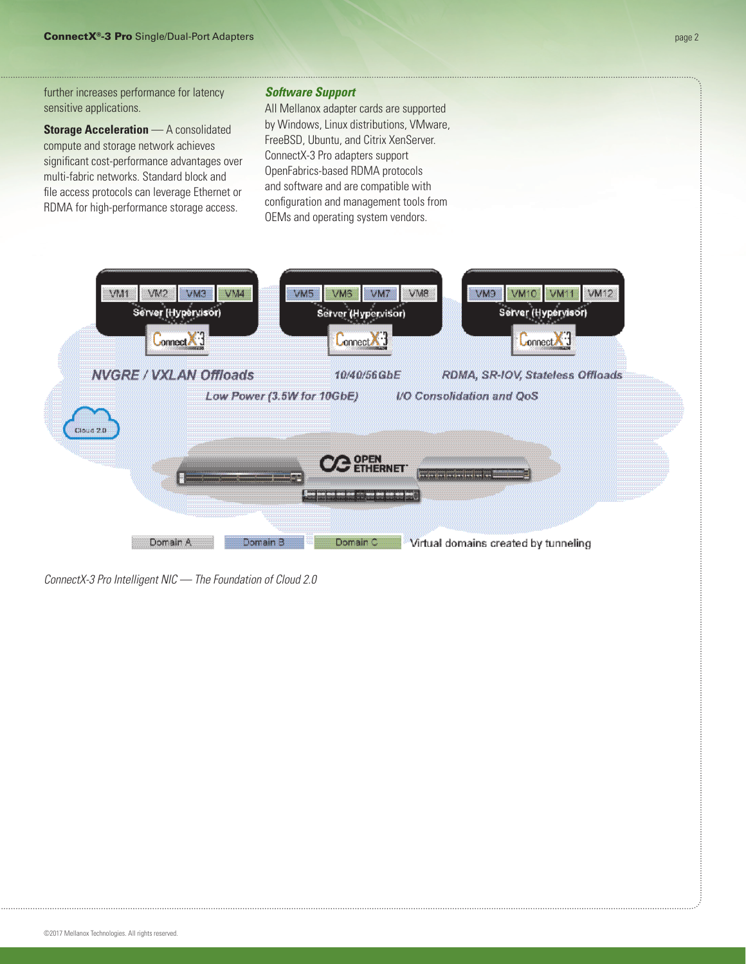further increases performance for latency sensitive applications.

**Storage Acceleration** — A consolidated compute and storage network achieves significant cost-performance advantages over multi-fabric networks. Standard block and file access protocols can leverage Ethernet or RDMA for high-performance storage access.

#### *Software Support*

All Mellanox adapter cards are supported by Windows, Linux distributions, VMware, FreeBSD, Ubuntu, and Citrix XenServer. ConnectX-3 Pro adapters support OpenFabrics-based RDMA protocols and software and are compatible with configuration and management tools from OEMs and operating system vendors.



*ConnectX-3 Pro Intelligent NIC — The Foundation of Cloud 2.0*